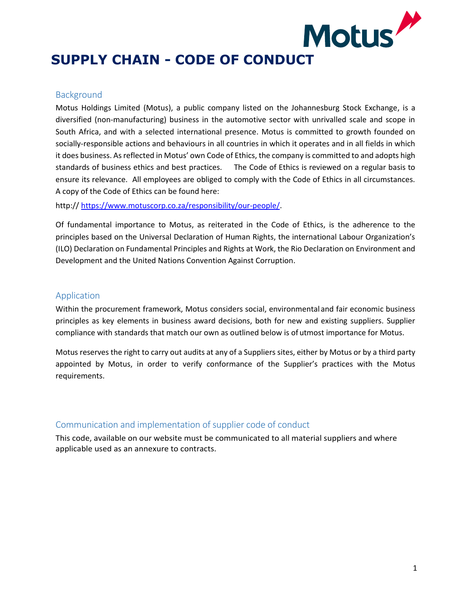# **SUPPLY CHAIN - CODE OF CONDUCT**

## Background

Motus Holdings Limited (Motus), a public company listed on the Johannesburg Stock Exchange, is a diversified (non-manufacturing) business in the automotive sector with unrivalled scale and scope in South Africa, and with a selected international presence. Motus is committed to growth founded on socially-responsible actions and behaviours in all countries in which it operates and in all fields in which it does business. As reflected in Motus' own Code of Ethics, the company is committed to and adopts high standards of business ethics and best practices. The Code of Ethics is reviewed on a regular basis to ensure its relevance. All employees are obliged to comply with the Code of Ethics in all circumstances. A copy of the Code of Ethics can be found here:

http:// [https://www.motuscorp.co.za/responsibility/our-people/.](https://www.motuscorp.co.za/responsibility/our-people/)

Of fundamental importance to Motus, as reiterated in the Code of Ethics, is the adherence to the principles based on the Universal Declaration of Human Rights, the international Labour Organization's (ILO) Declaration on Fundamental Principles and Rights at Work, the Rio Declaration on Environment and Development and the United Nations Convention Against Corruption.

## Application

Within the procurement framework, Motus considers social, environmental and fair economic business principles as key elements in business award decisions, both for new and existing suppliers. Supplier compliance with standards that match our own as outlined below is of utmost importance for Motus.

Motus reserves the right to carry out audits at any of a Suppliers sites, either by Motus or by a third party appointed by Motus, in order to verify conformance of the Supplier's practices with the Motus requirements.

# Communication and implementation of supplier code of conduct

This code, available on our website must be communicated to all material suppliers and where applicable used as an annexure to contracts.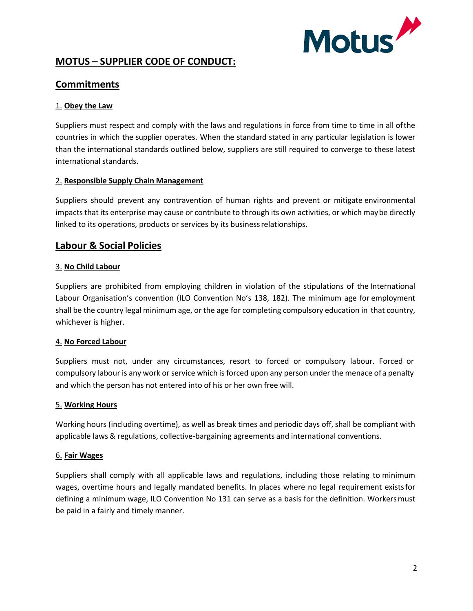

# **MOTUS – SUPPLIER CODE OF CONDUCT:**

# **Commitments**

# 1. **Obey the Law**

Suppliers must respect and comply with the laws and regulations in force from time to time in all ofthe countries in which the supplier operates. When the standard stated in any particular legislation is lower than the international standards outlined below, suppliers are still required to converge to these latest international standards.

## 2. **Responsible Supply Chain Management**

Suppliers should prevent any contravention of human rights and prevent or mitigate environmental impacts that its enterprise may cause or contribute to through its own activities, or which maybe directly linked to its operations, products or services by its businessrelationships.

# **Labour & Social Policies**

## 3. **No Child Labour**

Suppliers are prohibited from employing children in violation of the stipulations of the International Labour Organisation's convention (ILO Convention No's 138, 182). The minimum age for employment shall be the country legal minimum age, or the age for completing compulsory education in that country, whichever is higher.

#### 4. **No Forced Labour**

Suppliers must not, under any circumstances, resort to forced or compulsory labour. Forced or compulsory labour is any work or service which is forced upon any person under the menace ofa penalty and which the person has not entered into of his or her own free will.

#### 5. **Working Hours**

Working hours (including overtime), as well as break times and periodic days off, shall be compliant with applicable laws & regulations, collective-bargaining agreements and international conventions.

#### 6. **Fair Wages**

Suppliers shall comply with all applicable laws and regulations, including those relating to minimum wages, overtime hours and legally mandated benefits. In places where no legal requirement existsfor defining a minimum wage, ILO Convention No 131 can serve as a basis for the definition. Workersmust be paid in a fairly and timely manner.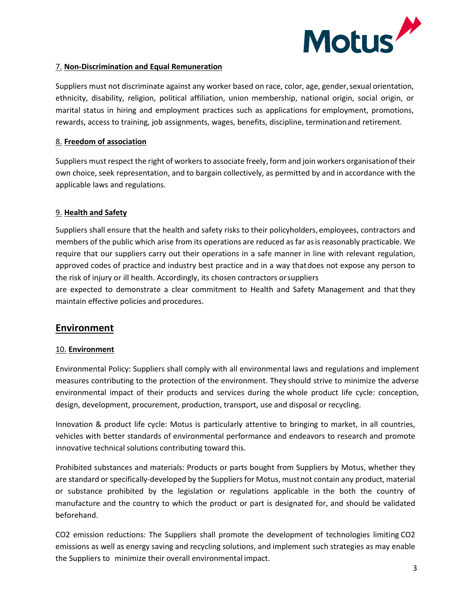

#### 7. **Non-Discrimination and Equal Remuneration**

Suppliers must not discriminate against any worker based on race, color, age, gender, sexual orientation, ethnicity, disability, religion, political affiliation, union membership, national origin, social origin, or marital status in hiring and employment practices such as applications for employment, promotions, rewards, access to training, job assignments, wages, benefits, discipline, terminationand retirement.

## 8. **Freedom of association**

Suppliers must respect the right of workers to associate freely, form and join workers organisationof their own choice, seek representation, and to bargain collectively, as permitted by and in accordance with the applicable laws and regulations.

# 9. **Health and Safety**

Suppliers shall ensure that the health and safety risks to their policyholders, employees, contractors and members of the public which arise from its operations are reduced as far asis reasonably practicable. We require that our suppliers carry out their operations in a safe manner in line with relevant regulation, approved codes of practice and industry best practice and in a way thatdoes not expose any person to the risk of injury or ill health. Accordingly, its chosen contractors orsuppliers

are expected to demonstrate a clear commitment to Health and Safety Management and that they maintain effective policies and procedures.

# **Environment**

#### 10. **Environment**

Environmental Policy: Suppliers shall comply with all environmental laws and regulations and implement measures contributing to the protection of the environment. They should strive to minimize the adverse environmental impact of their products and services during the whole product life cycle: conception, design, development, procurement, production, transport, use and disposal or recycling.

Innovation & product life cycle: Motus is particularly attentive to bringing to market, in all countries, vehicles with better standards of environmental performance and endeavors to research and promote innovative technical solutions contributing toward this.

Prohibited substances and materials: Products or parts bought from Suppliers by Motus, whether they are standard or specifically-developed by the Suppliers for Motus, mustnot contain any product, material or substance prohibited by the legislation or regulations applicable in the both the country of manufacture and the country to which the product or part is designated for, and should be validated beforehand.

CO2 emission reductions: The Suppliers shall promote the development of technologies limiting CO2 emissions as well as energy saving and recycling solutions, and implement such strategies as may enable the Suppliers to minimize their overall environmental impact.